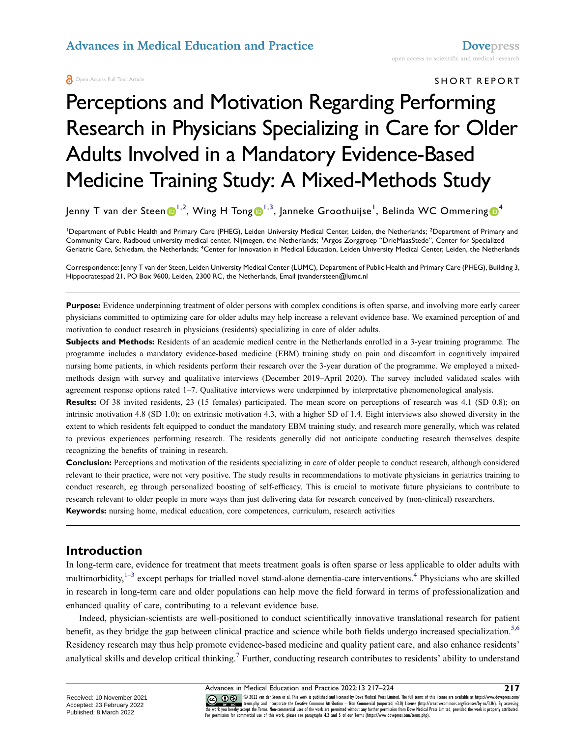#### SHORT REPORT

# Perceptions and Motivation Regarding Performing Research in Physicians Specializing in Care for Older Adults Involved in a Mandatory Evidence-Based Medicine Training Study: A Mixed-Methods Study

Jenny T van der Steen $\bm{\odot}^{1,2}$  $\bm{\odot}^{1,2}$  $\bm{\odot}^{1,2}$ , Wing H Tong $\bm{\odot}^{1,3}$  $\bm{\odot}^{1,3}$  $\bm{\odot}^{1,3}$  $\bm{\odot}^{1,3}$  $\bm{\odot}^{1,3}$ , Janneke Groothuijse $^{\mathsf{I}}$ , Belinda WC Ommering $\bm{\odot}^4$  $\bm{\odot}^4$ 

<span id="page-0-2"></span><span id="page-0-1"></span><span id="page-0-0"></span><sup>1</sup>Department of Public Health and Primary Care (PHEG), Leiden University Medical Center, Leiden, the Netherlands; <sup>2</sup>Department of Primary and Community Care, Radboud university medical center, Nijmegen, the Netherlands; <sup>3</sup>Argos Zorggroep "DrieMaasStede", Center for Specialized Geriatric Care, Schiedam, the Netherlands; <sup>4</sup>Center for Innovation in Medical Education, Leiden University Medical Center, Leiden, the Netherlands

Correspondence: Jenny T van der Steen, Leiden University Medical Center (LUMC), Department of Public Health and Primary Care (PHEG), Building 3, Hippocratespad 21, PO Box 9600, Leiden, 2300 RC, the Netherlands, Email jtvandersteen@lumc.nl

**Purpose:** Evidence underpinning treatment of older persons with complex conditions is often sparse, and involving more early career physicians committed to optimizing care for older adults may help increase a relevant evidence base. We examined perception of and motivation to conduct research in physicians (residents) specializing in care of older adults.

**Subjects and Methods:** Residents of an academic medical centre in the Netherlands enrolled in a 3-year training programme. The programme includes a mandatory evidence-based medicine (EBM) training study on pain and discomfort in cognitively impaired nursing home patients, in which residents perform their research over the 3-year duration of the programme. We employed a mixedmethods design with survey and qualitative interviews (December 2019–April 2020). The survey included validated scales with agreement response options rated 1–7. Qualitative interviews were underpinned by interpretative phenomenological analysis.

**Results:** Of 38 invited residents, 23 (15 females) participated. The mean score on perceptions of research was 4.1 (SD 0.8); on intrinsic motivation 4.8 (SD 1.0); on extrinsic motivation 4.3, with a higher SD of 1.4. Eight interviews also showed diversity in the extent to which residents felt equipped to conduct the mandatory EBM training study, and research more generally, which was related to previous experiences performing research. The residents generally did not anticipate conducting research themselves despite recognizing the benefits of training in research.

**Conclusion:** Perceptions and motivation of the residents specializing in care of older people to conduct research, although considered relevant to their practice, were not very positive. The study results in recommendations to motivate physicians in geriatrics training to conduct research, eg through personalized boosting of self-efficacy. This is crucial to motivate future physicians to contribute to research relevant to older people in more ways than just delivering data for research conceived by (non-clinical) researchers. **Keywords:** nursing home, medical education, core competences, curriculum, research activities

**Introduction**

<span id="page-0-3"></span>In long-term care, evidence for treatment that meets treatment goals is often sparse or less applicable to older adults with multimorbidity, $1-3$  $1-3$  except perhaps for trialled novel stand-alone dementia-care interventions.<sup>4</sup> Physicians who are skilled in research in long-term care and older populations can help move the field forward in terms of professionalization and enhanced quality of care, contributing to a relevant evidence base.

<span id="page-0-5"></span><span id="page-0-4"></span>Indeed, physician-scientists are well-positioned to conduct scientifically innovative translational research for patient benefit, as they bridge the gap between clinical practice and science while both fields undergo increased specialization.<sup>5,[6](#page-7-4)</sup> Residency research may thus help promote evidence-based medicine and quality patient care, and also enhance residents' analytical skills and develop critical thinking.<sup>[7](#page-7-5)</sup> Further, conducting research contributes to residents' ability to understand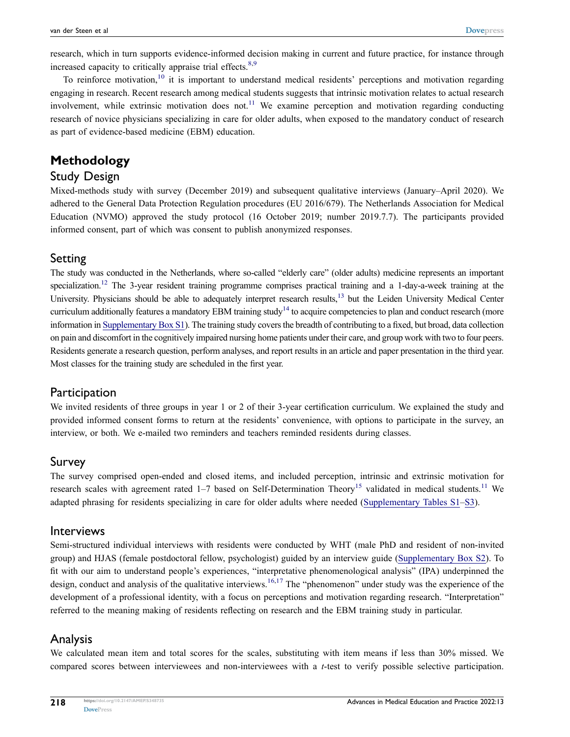<span id="page-1-0"></span>research, which in turn supports evidence-informed decision making in current and future practice, for instance through increased capacity to critically appraise trial effects. $8,9$  $8,9$ 

<span id="page-1-1"></span>To reinforce motivation,<sup>[10](#page-7-8)</sup> it is important to understand medical residents' perceptions and motivation regarding engaging in research. Recent research among medical students suggests that intrinsic motivation relates to actual research involvement, while extrinsic motivation does not.<sup>[11](#page-7-9)</sup> We examine perception and motivation regarding conducting research of novice physicians specializing in care for older adults, when exposed to the mandatory conduct of research as part of evidence-based medicine (EBM) education.

# **Methodology**

### Study Design

Mixed-methods study with survey (December 2019) and subsequent qualitative interviews (January–April 2020). We adhered to the General Data Protection Regulation procedures (EU 2016/679). The Netherlands Association for Medical Education (NVMO) approved the study protocol (16 October 2019; number 2019.7.7). The participants provided informed consent, part of which was consent to publish anonymized responses.

### Setting

<span id="page-1-5"></span><span id="page-1-4"></span><span id="page-1-3"></span>The study was conducted in the Netherlands, where so-called "elderly care" (older adults) medicine represents an important specialization.<sup>12</sup> The 3-year resident training programme comprises practical training and a 1-day-a-week training at the University. Physicians should be able to adequately interpret research results,<sup>[13](#page-7-11)</sup> but the Leiden University Medical Center curriculum additionally features a mandatory EBM training study<sup>[14](#page-7-12)</sup> to acquire competencies to plan and conduct research (more information in [Supplementary Box S1\)](https://www.dovepress.com/get_supplementary_file.php?f=348735.docx). The training study covers the breadth of contributing to a fixed, but broad, data collection on pain and discomfort in the cognitively impaired nursing home patients under their care, and group work with two to four peers. Residents generate a research question, perform analyses, and report results in an article and paper presentation in the third year. Most classes for the training study are scheduled in the first year.

## **Participation**

We invited residents of three groups in year 1 or 2 of their 3-year certification curriculum. We explained the study and provided informed consent forms to return at the residents' convenience, with options to participate in the survey, an interview, or both. We e-mailed two reminders and teachers reminded residents during classes.

### Survey

<span id="page-1-2"></span>The survey comprised open-ended and closed items, and included perception, intrinsic and extrinsic motivation for research scales with agreement rated 1–7 based on Self-Determination Theory<sup>[15](#page-7-13)</sup> validated in medical students.<sup>[11](#page-7-9)</sup> We adapted phrasing for residents specializing in care for older adults where needed ([Supplementary Tables S1–S3\)](https://www.dovepress.com/get_supplementary_file.php?f=348735.docx).

### Interviews

<span id="page-1-6"></span>Semi-structured individual interviews with residents were conducted by WHT (male PhD and resident of non-invited group) and HJAS (female postdoctoral fellow, psychologist) guided by an interview guide ([Supplementary Box S2\)](https://www.dovepress.com/get_supplementary_file.php?f=348735.docx). To fit with our aim to understand people's experiences, "interpretative phenomenological analysis" (IPA) underpinned the design, conduct and analysis of the qualitative interviews.<sup>[16,](#page-7-14)[17](#page-7-15)</sup> The "phenomenon" under study was the experience of the development of a professional identity, with a focus on perceptions and motivation regarding research. "Interpretation" referred to the meaning making of residents reflecting on research and the EBM training study in particular.

## Analysis

We calculated mean item and total scores for the scales, substituting with item means if less than 30% missed. We compared scores between interviewees and non-interviewees with a *t*-test to verify possible selective participation.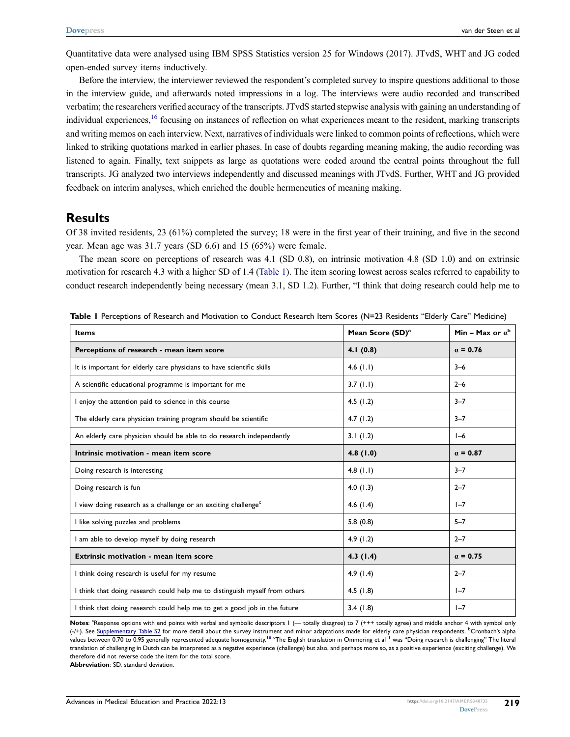Quantitative data were analysed using IBM SPSS Statistics version 25 for Windows (2017). JTvdS, WHT and JG coded open-ended survey items inductively.

Before the interview, the interviewer reviewed the respondent's completed survey to inspire questions additional to those in the interview guide, and afterwards noted impressions in a log. The interviews were audio recorded and transcribed verbatim; the researchers verified accuracy of the transcripts. JTvdS started stepwise analysis with gaining an understanding of individual experiences,<sup>16</sup> focusing on instances of reflection on what experiences meant to the resident, marking transcripts and writing memos on each interview. Next, narratives of individuals were linked to common points of reflections, which were linked to striking quotations marked in earlier phases. In case of doubts regarding meaning making, the audio recording was listened to again. Finally, text snippets as large as quotations were coded around the central points throughout the full transcripts. JG analyzed two interviews independently and discussed meanings with JTvdS. Further, WHT and JG provided feedback on interim analyses, which enriched the double hermeneutics of meaning making.

### **Results**

Of 38 invited residents, 23 (61%) completed the survey; 18 were in the first year of their training, and five in the second year. Mean age was 31.7 years (SD 6.6) and 15 (65%) were female.

The mean score on perceptions of research was 4.1 (SD 0.8), on intrinsic motivation 4.8 (SD 1.0) and on extrinsic motivation for research 4.3 with a higher SD of 1.4 [\(Table 1\)](#page-2-0). The item scoring lowest across scales referred to capability to conduct research independently being necessary (mean 3.1, SD 1.2). Further, "I think that doing research could help me to

| <b>Items</b>                                                                | Mean Score (SD) <sup>a</sup> | Min - Max or $a^b$ |
|-----------------------------------------------------------------------------|------------------------------|--------------------|
| Perceptions of research - mean item score                                   | 4.1(0.8)                     | $\alpha = 0.76$    |
| It is important for elderly care physicians to have scientific skills       | 4.6 $(1.1)$                  | $3 - 6$            |
| A scientific educational programme is important for me                      | 3.7(1.1)                     | $2 - 6$            |
| I enjoy the attention paid to science in this course                        | 4.5 $(1.2)$                  | $3 - 7$            |
| The elderly care physician training program should be scientific            | 4.7 $(1.2)$                  | $3 - 7$            |
| An elderly care physician should be able to do research independently       | 3.1(1.2)                     | $I-6$              |
| Intrinsic motivation - mean item score                                      | 4.8(1.0)                     | $\alpha = 0.87$    |
| Doing research is interesting                                               | 4.8 $(1.1)$                  | $3 - 7$            |
| Doing research is fun                                                       | 4.0(1.3)                     | $2 - 7$            |
| I view doing research as a challenge or an exciting challenge <sup>c</sup>  | 4.6 $(1.4)$                  | $1 - 7$            |
| I like solving puzzles and problems                                         | 5.8(0.8)                     | $5 - 7$            |
| I am able to develop myself by doing research                               | 4.9(1.2)                     | $2 - 7$            |
| Extrinsic motivation - mean item score                                      | 4.3(1.4)                     | $\alpha = 0.75$    |
| I think doing research is useful for my resume                              | 4.9(1.4)                     | $2 - 7$            |
| I think that doing research could help me to distinguish myself from others | 4.5(1.8)                     | $I - 7$            |
| I think that doing research could help me to get a good job in the future   | 3.4(1.8)                     | $1 - 7$            |

<span id="page-2-0"></span>**Table 1** Perceptions of Research and Motivation to Conduct Research Item Scores (N=23 Residents "Elderly Care" Medicine)

<span id="page-2-1"></span>Notes: <sup>a</sup>Response options with end points with verbal and symbolic descriptors 1 (— totally disagree) to 7 (+++ totally agree) and middle anchor 4 with symbol only (-/+). See [Supplementary Table S2](https://www.dovepress.com/get_supplementary_file.php?f=348735.docx) for more detail about the survey instrument and minor adaptations made for elderly care physician respondents. <sup>b</sup>Cronbach's alpha values between 0.70 to 0.95 generally represented adequate homogeneity.<sup>[18](#page-7-16) c</sup>The English translation in Ommering et al<sup>[11](#page-7-9)</sup> was "Doing research is challenging" The literal translation of challenging in Dutch can be interpreted as a negative experience (challenge) but also, and perhaps more so, as a positive experience (exciting challenge). We therefore did not reverse code the item for the total score.

**Abbreviation**: SD, standard deviation.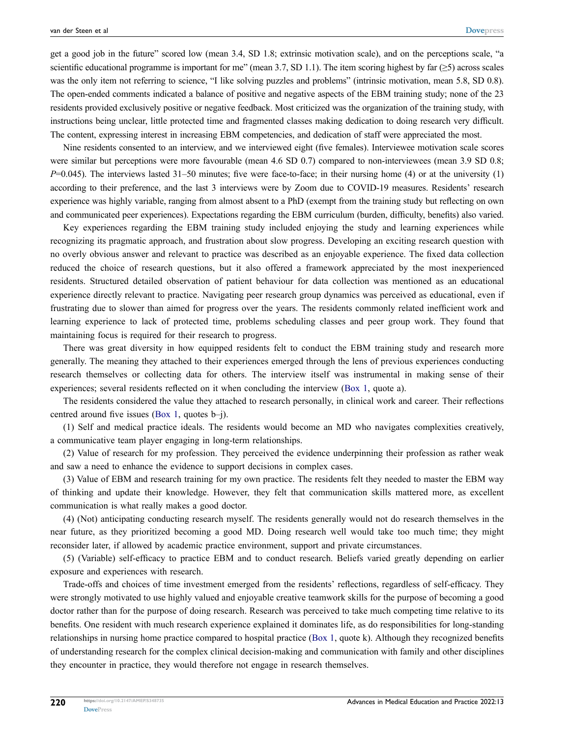get a good job in the future" scored low (mean 3.4, SD 1.8; extrinsic motivation scale), and on the perceptions scale, "a scientific educational programme is important for me" (mean 3.7, SD 1.1). The item scoring highest by far  $(\geq 5)$  across scales was the only item not referring to science, "I like solving puzzles and problems" (intrinsic motivation, mean 5.8, SD 0.8). The open-ended comments indicated a balance of positive and negative aspects of the EBM training study; none of the 23 residents provided exclusively positive or negative feedback. Most criticized was the organization of the training study, with instructions being unclear, little protected time and fragmented classes making dedication to doing research very difficult. The content, expressing interest in increasing EBM competencies, and dedication of staff were appreciated the most.

Nine residents consented to an interview, and we interviewed eight (five females). Interviewee motivation scale scores were similar but perceptions were more favourable (mean 4.6 SD 0.7) compared to non-interviewees (mean 3.9 SD 0.8; *P*=0.045). The interviews lasted 31–50 minutes; five were face-to-face; in their nursing home (4) or at the university (1) according to their preference, and the last 3 interviews were by Zoom due to COVID-19 measures. Residents' research experience was highly variable, ranging from almost absent to a PhD (exempt from the training study but reflecting on own and communicated peer experiences). Expectations regarding the EBM curriculum (burden, difficulty, benefits) also varied.

Key experiences regarding the EBM training study included enjoying the study and learning experiences while recognizing its pragmatic approach, and frustration about slow progress. Developing an exciting research question with no overly obvious answer and relevant to practice was described as an enjoyable experience. The fixed data collection reduced the choice of research questions, but it also offered a framework appreciated by the most inexperienced residents. Structured detailed observation of patient behaviour for data collection was mentioned as an educational experience directly relevant to practice. Navigating peer research group dynamics was perceived as educational, even if frustrating due to slower than aimed for progress over the years. The residents commonly related inefficient work and learning experience to lack of protected time, problems scheduling classes and peer group work. They found that maintaining focus is required for their research to progress.

There was great diversity in how equipped residents felt to conduct the EBM training study and research more generally. The meaning they attached to their experiences emerged through the lens of previous experiences conducting research themselves or collecting data for others. The interview itself was instrumental in making sense of their experiences; several residents reflected on it when concluding the interview [\(Box 1](#page-4-0), quote a).

The residents considered the value they attached to research personally, in clinical work and career. Their reflections centred around five issues ([Box 1,](#page-4-0) quotes b–j).

(1) Self and medical practice ideals. The residents would become an MD who navigates complexities creatively, a communicative team player engaging in long-term relationships.

(2) Value of research for my profession. They perceived the evidence underpinning their profession as rather weak and saw a need to enhance the evidence to support decisions in complex cases.

(3) Value of EBM and research training for my own practice. The residents felt they needed to master the EBM way of thinking and update their knowledge. However, they felt that communication skills mattered more, as excellent communication is what really makes a good doctor.

(4) (Not) anticipating conducting research myself. The residents generally would not do research themselves in the near future, as they prioritized becoming a good MD. Doing research well would take too much time; they might reconsider later, if allowed by academic practice environment, support and private circumstances.

(5) (Variable) self-efficacy to practice EBM and to conduct research. Beliefs varied greatly depending on earlier exposure and experiences with research.

Trade-offs and choices of time investment emerged from the residents' reflections, regardless of self-efficacy. They were strongly motivated to use highly valued and enjoyable creative teamwork skills for the purpose of becoming a good doctor rather than for the purpose of doing research. Research was perceived to take much competing time relative to its benefits. One resident with much research experience explained it dominates life, as do responsibilities for long-standing relationships in nursing home practice compared to hospital practice [\(Box 1,](#page-4-0) quote k). Although they recognized benefits of understanding research for the complex clinical decision-making and communication with family and other disciplines they encounter in practice, they would therefore not engage in research themselves.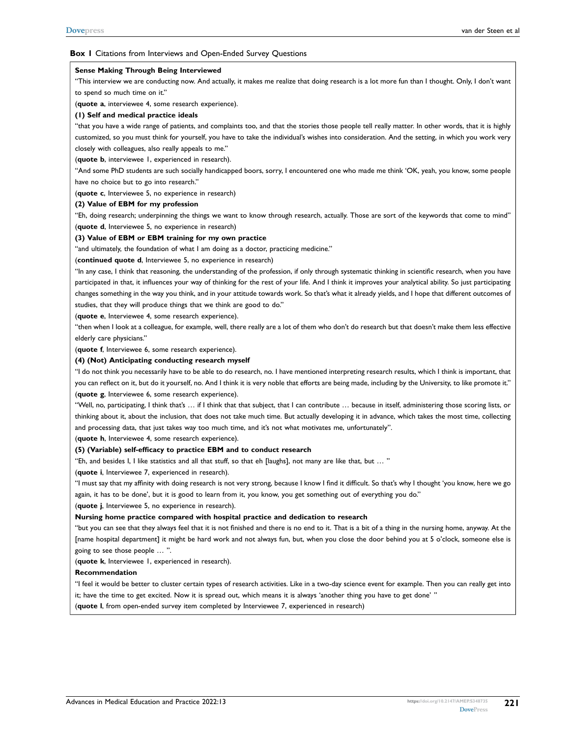#### <span id="page-4-0"></span>**Box 1** Citations from Interviews and Open-Ended Survey Questions

#### **Sense Making Through Being Interviewed**

"This interview we are conducting now. And actually, it makes me realize that doing research is a lot more fun than I thought. Only, I don't want to spend so much time on it."

(**quote a**, interviewee 4, some research experience).

#### **(1) Self and medical practice ideals**

"that you have a wide range of patients, and complaints too, and that the stories those people tell really matter. In other words, that it is highly customized, so you must think for yourself, you have to take the individual's wishes into consideration. And the setting, in which you work very closely with colleagues, also really appeals to me."

#### (**quote b**, interviewee 1, experienced in research).

"And some PhD students are such socially handicapped boors, sorry, I encountered one who made me think 'OK, yeah, you know, some people have no choice but to go into research."

(**quote c**, Interviewee 5, no experience in research)

#### **(2) Value of EBM for my profession**

"Eh, doing research; underpinning the things we want to know through research, actually. Those are sort of the keywords that come to mind" (**quote d**, Interviewee 5, no experience in research)

#### **(3) Value of EBM or EBM training for my own practice**

"and ultimately, the foundation of what I am doing as a doctor, practicing medicine."

#### (**continued quote d**, Interviewee 5, no experience in research)

"In any case, I think that reasoning, the understanding of the profession, if only through systematic thinking in scientific research, when you have participated in that, it influences your way of thinking for the rest of your life. And I think it improves your analytical ability. So just participating changes something in the way you think, and in your attitude towards work. So that's what it already yields, and I hope that different outcomes of studies, that they will produce things that we think are good to do."

(**quote e**, Interviewee 4, some research experience).

"then when I look at a colleague, for example, well, there really are a lot of them who don't do research but that doesn't make them less effective elderly care physicians."

(**quote f**, Interviewee 6, some research experience).

#### **(4) (Not) Anticipating conducting research myself**

"I do not think you necessarily have to be able to do research, no. I have mentioned interpreting research results, which I think is important, that you can reflect on it, but do it yourself, no. And I think it is very noble that efforts are being made, including by the University, to like promote it." (**quote g**, Interviewee 6, some research experience).

"Well, no, participating, I think that's … if I think that that subject, that I can contribute … because in itself, administering those scoring lists, or thinking about it, about the inclusion, that does not take much time. But actually developing it in advance, which takes the most time, collecting and processing data, that just takes way too much time, and it's not what motivates me, unfortunately".

(**quote h**, Interviewee 4, some research experience).

#### **(5) (Variable) self-efficacy to practice EBM and to conduct research**

"Eh, and besides I, I like statistics and all that stuff, so that eh [laughs], not many are like that, but … "

(**quote i**, Interviewee 7, experienced in research).

"I must say that my affinity with doing research is not very strong, because I know I find it difficult. So that's why I thought 'you know, here we go again, it has to be done', but it is good to learn from it, you know, you get something out of everything you do."

(**quote j**, Interviewee 5, no experience in research).

#### **Nursing home practice compared with hospital practice and dedication to research**

"but you can see that they always feel that it is not finished and there is no end to it. That is a bit of a thing in the nursing home, anyway. At the [name hospital department] it might be hard work and not always fun, but, when you close the door behind you at 5 o'clock, someone else is going to see those people … ".

(**quote k**, Interviewee 1, experienced in research).

#### **Recommendation**

"I feel it would be better to cluster certain types of research activities. Like in a two-day science event for example. Then you can really get into it; have the time to get excited. Now it is spread out, which means it is always 'another thing you have to get done' "

(**quote l**, from open-ended survey item completed by Interviewee 7, experienced in research)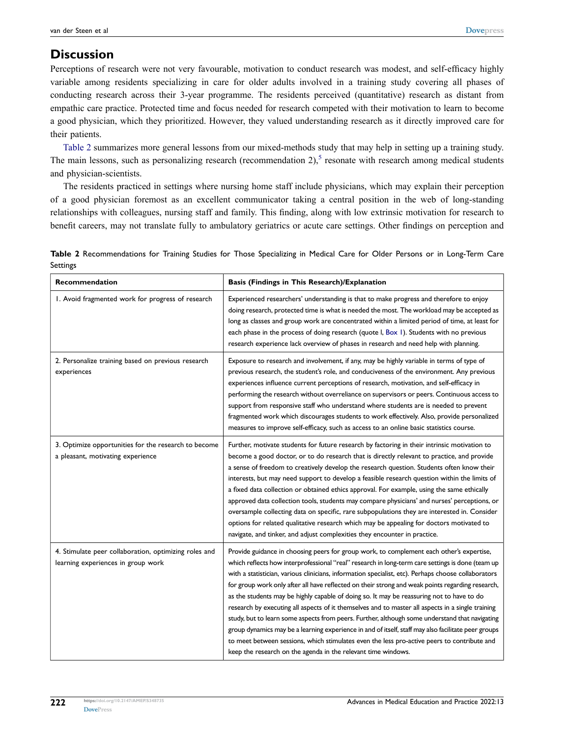# **Discussion**

Perceptions of research were not very favourable, motivation to conduct research was modest, and self-efficacy highly variable among residents specializing in care for older adults involved in a training study covering all phases of conducting research across their 3-year programme. The residents perceived (quantitative) research as distant from empathic care practice. Protected time and focus needed for research competed with their motivation to learn to become a good physician, which they prioritized. However, they valued understanding research as it directly improved care for their patients.

[Table 2](#page-5-0) summarizes more general lessons from our mixed-methods study that may help in setting up a training study. The main lessons, such as personalizing research (recommendation  $2$ ),<sup>[5](#page-7-3)</sup> resonate with research among medical students and physician-scientists.

The residents practiced in settings where nursing home staff include physicians, which may explain their perception of a good physician foremost as an excellent communicator taking a central position in the web of long-standing relationships with colleagues, nursing staff and family. This finding, along with low extrinsic motivation for research to benefit careers, may not translate fully to ambulatory geriatrics or acute care settings. Other findings on perception and

<span id="page-5-0"></span>

| Recommendation | Basis (Findings in This Research)/Explanation                                                                              |
|----------------|----------------------------------------------------------------------------------------------------------------------------|
| Settings       |                                                                                                                            |
|                | Table 2 Recommendations for Training Studies for Those Specializing in Medical Care for Older Persons or in Long-Term Care |

| I. Avoid fragmented work for progress of research                                           | Experienced researchers' understanding is that to make progress and therefore to enjoy<br>doing research, protected time is what is needed the most. The workload may be accepted as<br>long as classes and group work are concentrated within a limited period of time, at least for<br>each phase in the process of doing research (quote I, Box 1). Students with no previous<br>research experience lack overview of phases in research and need help with planning.                                                                                                                                                                                                                                                                                                                                                                                                                                                                                                           |
|---------------------------------------------------------------------------------------------|------------------------------------------------------------------------------------------------------------------------------------------------------------------------------------------------------------------------------------------------------------------------------------------------------------------------------------------------------------------------------------------------------------------------------------------------------------------------------------------------------------------------------------------------------------------------------------------------------------------------------------------------------------------------------------------------------------------------------------------------------------------------------------------------------------------------------------------------------------------------------------------------------------------------------------------------------------------------------------|
| 2. Personalize training based on previous research<br>experiences                           | Exposure to research and involvement, if any, may be highly variable in terms of type of<br>previous research, the student's role, and conduciveness of the environment. Any previous<br>experiences influence current perceptions of research, motivation, and self-efficacy in<br>performing the research without overreliance on supervisors or peers. Continuous access to<br>support from responsive staff who understand where students are is needed to prevent<br>fragmented work which discourages students to work effectively. Also, provide personalized<br>measures to improve self-efficacy, such as access to an online basic statistics course.                                                                                                                                                                                                                                                                                                                    |
| 3. Optimize opportunities for the research to become<br>a pleasant, motivating experience   | Further, motivate students for future research by factoring in their intrinsic motivation to<br>become a good doctor, or to do research that is directly relevant to practice, and provide<br>a sense of freedom to creatively develop the research question. Students often know their<br>interests, but may need support to develop a feasible research question within the limits of<br>a fixed data collection or obtained ethics approval. For example, using the same ethically<br>approved data collection tools, students may compare physicians' and nurses' perceptions, or<br>oversample collecting data on specific, rare subpopulations they are interested in. Consider<br>options for related qualitative research which may be appealing for doctors motivated to<br>navigate, and tinker, and adjust complexities they encounter in practice.                                                                                                                     |
| 4. Stimulate peer collaboration, optimizing roles and<br>learning experiences in group work | Provide guidance in choosing peers for group work, to complement each other's expertise,<br>which reflects how interprofessional "real" research in long-term care settings is done (team up<br>with a statistician, various clinicians, information specialist, etc). Perhaps choose collaborators<br>for group work only after all have reflected on their strong and weak points regarding research,<br>as the students may be highly capable of doing so. It may be reassuring not to have to do<br>research by executing all aspects of it themselves and to master all aspects in a single training<br>study, but to learn some aspects from peers. Further, although some understand that navigating<br>group dynamics may be a learning experience in and of itself, staff may also facilitate peer groups<br>to meet between sessions, which stimulates even the less pro-active peers to contribute and<br>keep the research on the agenda in the relevant time windows. |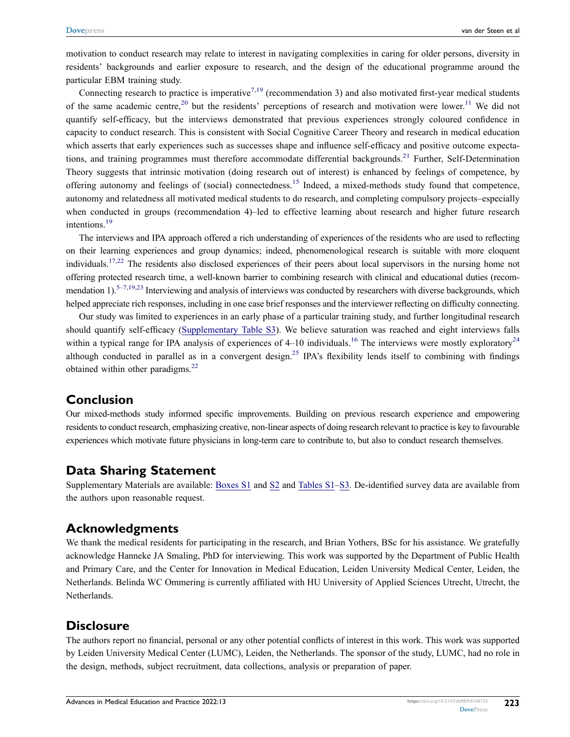motivation to conduct research may relate to interest in navigating complexities in caring for older persons, diversity in residents' backgrounds and earlier exposure to research, and the design of the educational programme around the particular EBM training study.

<span id="page-6-2"></span><span id="page-6-1"></span>Connecting research to practice is imperative<sup>[7](#page-7-5)[,19](#page-7-17)</sup> (recommendation 3) and also motivated first-year medical students of the same academic centre,<sup>[20](#page-7-18)</sup> but the residents' perceptions of research and motivation were lower.<sup>[11](#page-7-9)</sup> We did not quantify self-efficacy, but the interviews demonstrated that previous experiences strongly coloured confidence in capacity to conduct research. This is consistent with Social Cognitive Career Theory and research in medical education which asserts that early experiences such as successes shape and influence self-efficacy and positive outcome expecta-tions, and training programmes must therefore accommodate differential backgrounds.<sup>[21](#page-7-19)</sup> Further, Self-Determination Theory suggests that intrinsic motivation (doing research out of interest) is enhanced by feelings of competence, by offering autonomy and feelings of (social) connectedness.<sup>[15](#page-7-13)</sup> Indeed, a mixed-methods study found that competence, autonomy and relatedness all motivated medical students to do research, and completing compulsory projects–especially when conducted in groups (recommendation 4)–led to effective learning about research and higher future research intentions.<sup>[19](#page-7-17)</sup>

The interviews and IPA approach offered a rich understanding of experiences of the residents who are used to reflecting on their learning experiences and group dynamics; indeed, phenomenological research is suitable with more eloquent individuals.<sup>[17](#page-7-15),[22](#page-7-20)</sup> The residents also disclosed experiences of their peers about local supervisors in the nursing home not offering protected research time, a well-known barrier to combining research with clinical and educational duties (recom-mendation 1).<sup>5–[7](#page-7-5),[19](#page-7-17),[23](#page-7-21)</sup> Interviewing and analysis of interviews was conducted by researchers with diverse backgrounds, which helped appreciate rich responses, including in one case brief responses and the interviewer reflecting on difficulty connecting.

<span id="page-6-4"></span><span id="page-6-0"></span>Our study was limited to experiences in an early phase of a particular training study, and further longitudinal research should quantify self-efficacy [\(Supplementary Table S3](https://www.dovepress.com/get_supplementary_file.php?f=348735.docx)). We believe saturation was reached and eight interviews falls within a typical range for IPA analysis of experiences of  $4-10$  individuals.<sup>[16](#page-7-14)</sup> The interviews were mostly exploratory<sup>[24](#page-7-22)</sup> although conducted in parallel as in a convergent design.<sup>[25](#page-7-23)</sup> IPA's flexibility lends itself to combining with findings obtained within other paradigms.<sup>[22](#page-7-20)</sup>

# <span id="page-6-3"></span>**Conclusion**

Our mixed-methods study informed specific improvements. Building on previous research experience and empowering residents to conduct research, emphasizing creative, non-linear aspects of doing research relevant to practice is key to favourable experiences which motivate future physicians in long-term care to contribute to, but also to conduct research themselves.

## **Data Sharing Statement**

Supplementary Materials are available: [Boxes S1](https://www.dovepress.com/get_supplementary_file.php?f=348735.docx) and [S2](https://www.dovepress.com/get_supplementary_file.php?f=348735.docx) and [Tables S1–S3](https://www.dovepress.com/get_supplementary_file.php?f=348735.docx). De-identified survey data are available from the authors upon reasonable request.

# **Acknowledgments**

We thank the medical residents for participating in the research, and Brian Yothers, BSc for his assistance. We gratefully acknowledge Hanneke JA Smaling, PhD for interviewing. This work was supported by the Department of Public Health and Primary Care, and the Center for Innovation in Medical Education, Leiden University Medical Center, Leiden, the Netherlands. Belinda WC Ommering is currently affiliated with HU University of Applied Sciences Utrecht, Utrecht, the Netherlands.

# **Disclosure**

The authors report no financial, personal or any other potential conflicts of interest in this work. This work was supported by Leiden University Medical Center (LUMC), Leiden, the Netherlands. The sponsor of the study, LUMC, had no role in the design, methods, subject recruitment, data collections, analysis or preparation of paper.